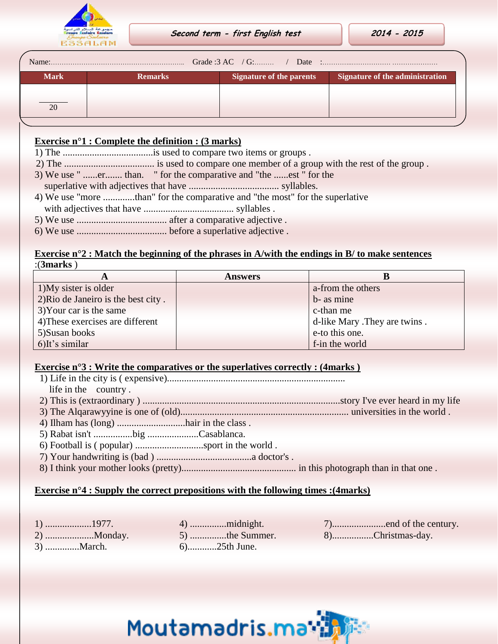

| Name:       |                |                                 |                                 |  |  |
|-------------|----------------|---------------------------------|---------------------------------|--|--|
| <b>Mark</b> | <b>Remarks</b> | <b>Signature of the parents</b> | Signature of the administration |  |  |
|             |                |                                 |                                 |  |  |
| 20          |                |                                 |                                 |  |  |
|             |                |                                 |                                 |  |  |

# **Exercise n°1 : Complete the definition : (3 marks)**

- 1) The .....................................is used to compare two items or groups .
- 2) The ..................................... is used to compare one member of a group with the rest of the group .
- 3) We use " ......er....... than. " for the comparative and "the ......est " for the
- superlative with adjectives that have ..................................... syllables.
- 4) We use "more .............than" for the comparative and "the most" for the superlative with adjectives that have ..................................... syllables .
- 5) We use ..................................... after a comparative adjective .
- 6) We use ..................................... before a superlative adjective .

#### **Exercise n°2 : Match the beginning of the phrases in A/with the endings in B/ to make sentences** :(**3marks** )

| A                                   | <b>Answers</b> |                               |
|-------------------------------------|----------------|-------------------------------|
| 1) My sister is older               |                | a-from the others             |
| 2) Rio de Janeiro is the best city. |                | b- as mine                    |
| 3) Your car is the same             |                | c-than me                     |
| 4) These exercises are different    |                | d-like Mary . They are twins. |
| 5) Susan books                      |                | e-to this one.                |
| 6)It's similar                      |                | f-in the world                |

## **Exercise n°3 : Write the comparatives or the superlatives correctly : (4marks )**

- 1) Life in the city is ( expensive).........................................................................
- life in the country .
- 2) This is (extraordinary ) .................................................................................story I've ever heard in my life
- 3) The Alqarawyyine is one of (old)..................................................................... universities in the world .
- 4) Ilham has (long) ............................hair in the class .
- 5) Rabat isn't ................big .....................Casablanca.
- 6) Football is ( popular) ............................sport in the world .
- 7) Your handwriting is (bad ) .......................................a doctor's .
- 8) I think your mother looks (pretty)............................................... in this photograph than in that one .

## **Exercise n°4 : Supply the correct prepositions with the following times :(4marks)**

- 
- 3) ..............March. 6)............25th June.
- 
- 1) ...................1977. 4) ...............midnight. 7)......................end of the century. 2) ....................Monday. 5) ...............the Summer. 8).................Christmas-day.